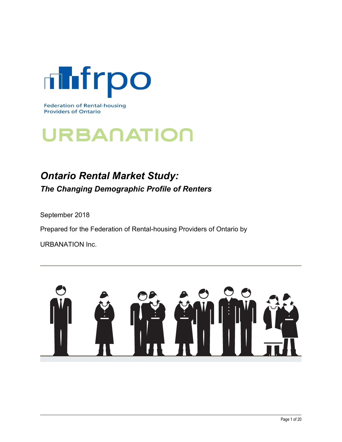

# URBANATION

## Ontario Rental Market Study: The Changing Demographic Profile of Renters

September 2018

Prepared for the Federation of Rental-housing Providers of Ontario by

URBANATION Inc.

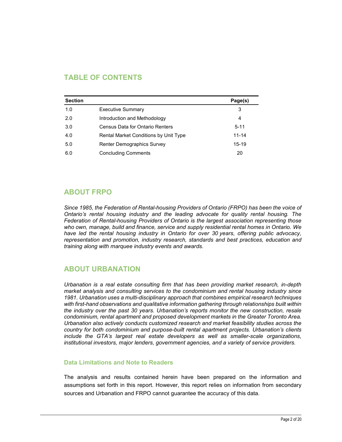## TABLE OF CONTENTS

|                | <b>TABLE OF CONTENTS</b>              |                |
|----------------|---------------------------------------|----------------|
|                |                                       |                |
|                |                                       | Page(s)        |
| <b>Section</b> |                                       |                |
| $1.0\,$        | <b>Executive Summary</b>              | $\mathsf 3$    |
| 2.0            | Introduction and Methodology          | $\overline{4}$ |
| 3.0            | Census Data for Ontario Renters       | $5 - 11$       |
| 4.0            | Rental Market Conditions by Unit Type | $11 - 14$      |
| $5.0\,$        | Renter Demographics Survey            | $15-19$        |

## ABOUT FRPO

Since 1985, the Federation of Rental-housing Providers of Ontario (FRPO) has been the voice of Ontario's rental housing industry and the leading advocate for quality rental housing. The Federation of Rental-housing Providers of Ontario is the largest association representing those who own, manage, build and finance, service and supply residential rental homes in Ontario. We have led the rental housing industry in Ontario for over 30 years, offering public advocacy, representation and promotion, industry research, standards and best practices, education and training along with marquee industry events and awards.

## ABOUT URBANATION

Urbanation is a real estate consulting firm that has been providing market research, in-depth market analysis and consulting services to the condominium and rental housing industry since 1981. Urbanation uses a multi-disciplinary approach that combines empirical research techniques with first-hand observations and qualitative information gathering through relationships built within the industry over the past 30 years. Urbanation's reports monitor the new construction, resale condominium, rental apartment and proposed development markets in the Greater Toronto Area. Urbanation also actively conducts customized research and market feasibility studies across the country for both condominium and purpose-built rental apartment projects. Urbanation's clients include the GTA's largest real estate developers as well as smaller-scale organizations, institutional investors, major lenders, government agencies, and a variety of service providers.

#### Data Limitations and Note to Readers

The analysis and results contained herein have been prepared on the information and assumptions set forth in this report. However, this report relies on information from secondary sources and Urbanation and FRPO cannot guarantee the accuracy of this data.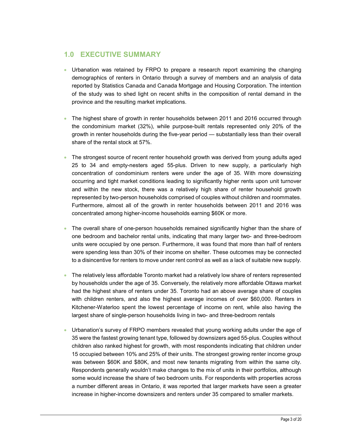## 1.0 EXECUTIVE SUMMARY

- Urbanation was retained by FRPO to prepare a research report examining the changing demographics of renters in Ontario through a survey of members and an analysis of data reported by Statistics Canada and Canada Mortgage and Housing Corporation. The intention of the study was to shed light on recent shifts in the composition of rental demand in the province and the resulting market implications.
- The highest share of growth in renter households between 2011 and 2016 occurred through the condominium market (32%), while purpose-built rentals represented only 20% of the growth in renter households during the five-year period — substantially less than their overall share of the rental stock at 57%.
- The strongest source of recent renter household growth was derived from young adults aged 25 to 34 and empty-nesters aged 55-plus. Driven to new supply, a particularly high concentration of condominium renters were under the age of 35. With more downsizing occurring and tight market conditions leading to significantly higher rents upon unit turnover and within the new stock, there was a relatively high share of renter household growth represented by two-person households comprised of couples without children and roommates. Furthermore, almost all of the growth in renter households between 2011 and 2016 was concentrated among higher-income households earning \$60K or more.
- The overall share of one-person households remained significantly higher than the share of one bedroom and bachelor rental units, indicating that many larger two- and three-bedroom units were occupied by one person. Furthermore, it was found that more than half of renters were spending less than 30% of their income on shelter. These outcomes may be connected to a disincentive for renters to move under rent control as well as a lack of suitable new supply.
- The relatively less affordable Toronto market had a relatively low share of renters represented by households under the age of 35. Conversely, the relatively more affordable Ottawa market had the highest share of renters under 35. Toronto had an above average share of couples with children renters, and also the highest average incomes of over \$60,000. Renters in Kitchener-Waterloo spent the lowest percentage of income on rent, while also having the largest share of single-person households living in two- and three-bedroom rentals
- Urbanation's survey of FRPO members revealed that young working adults under the age of 35 were the fastest growing tenant type, followed by downsizers aged 55-plus. Couples without children also ranked highest for growth, with most respondents indicating that children under 15 occupied between 10% and 25% of their units. The strongest growing renter income group was between \$60K and \$80K, and most new tenants migrating from within the same city. Respondents generally wouldn't make changes to the mix of units in their portfolios, although some would increase the share of two bedroom units. For respondents with properties across a number different areas in Ontario, it was reported that larger markets have seen a greater increase in higher-income downsizers and renters under 35 compared to smaller markets.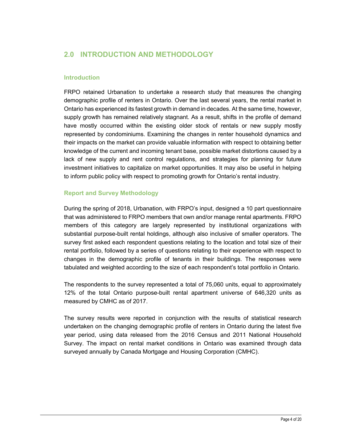## 2.0 INTRODUCTION AND METHODOLOGY

#### **Introduction**

FRPO retained Urbanation to undertake a research study that measures the changing demographic profile of renters in Ontario. Over the last several years, the rental market in Ontario has experienced its fastest growth in demand in decades. At the same time, however, supply growth has remained relatively stagnant. As a result, shifts in the profile of demand have mostly occurred within the existing older stock of rentals or new supply mostly represented by condominiums. Examining the changes in renter household dynamics and their impacts on the market can provide valuable information with respect to obtaining better knowledge of the current and incoming tenant base, possible market distortions caused by a lack of new supply and rent control regulations, and strategies for planning for future investment initiatives to capitalize on market opportunities. It may also be useful in helping to inform public policy with respect to promoting growth for Ontario's rental industry.

#### Report and Survey Methodology

During the spring of 2018, Urbanation, with FRPO's input, designed a 10 part questionnaire that was administered to FRPO members that own and/or manage rental apartments. FRPO members of this category are largely represented by institutional organizations with substantial purpose-built rental holdings, although also inclusive of smaller operators. The survey first asked each respondent questions relating to the location and total size of their rental portfolio, followed by a series of questions relating to their experience with respect to changes in the demographic profile of tenants in their buildings. The responses were tabulated and weighted according to the size of each respondent's total portfolio in Ontario.

The respondents to the survey represented a total of 75,060 units, equal to approximately 12% of the total Ontario purpose-built rental apartment universe of 646,320 units as measured by CMHC as of 2017.

The survey results were reported in conjunction with the results of statistical research undertaken on the changing demographic profile of renters in Ontario during the latest five year period, using data released from the 2016 Census and 2011 National Household Survey. The impact on rental market conditions in Ontario was examined through data surveyed annually by Canada Mortgage and Housing Corporation (CMHC).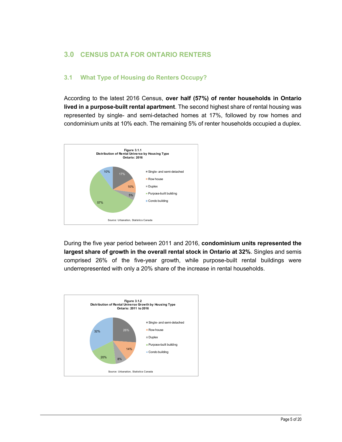## 3.0 CENSUS DATA FOR ONTARIO RENTERS

## 3.1 What Type of Housing do Renters Occupy?

According to the latest 2016 Census, over half (57%) of renter households in Ontario lived in a purpose-built rental apartment. The second highest share of rental housing was represented by single- and semi-detached homes at 17%, followed by row homes and condominium units at 10% each. The remaining 5% of renter households occupied a duplex.



During the five year period between 2011 and 2016, condominium units represented the largest share of growth in the overall rental stock in Ontario at 32%. Singles and semis comprised 26% of the five-year growth, while purpose-built rental buildings were underrepresented with only a 20% share of the increase in rental households.

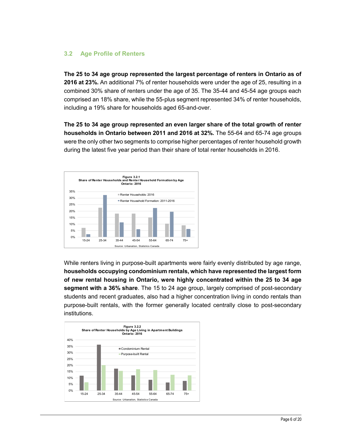## 3.2 Age Profile of Renters

The 25 to 34 age group represented the largest percentage of renters in Ontario as of 2016 at 23%. An additional 7% of renter households were under the age of 25, resulting in a combined 30% share of renters under the age of 35. The 35-44 and 45-54 age groups each comprised an 18% share, while the 55-plus segment represented 34% of renter households, including a 19% share for households aged 65-and-over.

The 25 to 34 age group represented an even larger share of the total growth of renter households in Ontario between 2011 and 2016 at 32%. The 55-64 and 65-74 age groups were the only other two segments to comprise higher percentages of renter household growth during the latest five year period than their share of total renter households in 2016.



While renters living in purpose-built apartments were fairly evenly distributed by age range, households occupying condominium rentals, which have represented the largest form of new rental housing in Ontario, were highly concentrated within the 25 to 34 age segment with a 36% share. The 15 to 24 age group, largely comprised of post-secondary students and recent graduates, also had a higher concentration living in condo rentals than purpose-built rentals, with the former generally located centrally close to post-secondary institutions. Tenters living in purpose-built apartments were fairly evenly distributed by age range,<br>
Aholds occupying condominium rentals, which have represented the largest form<br>
w rental housing in Ontario, were highly concentrated

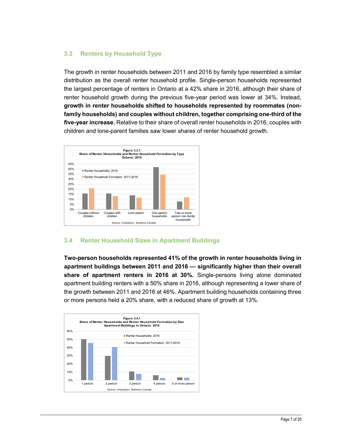## 3.3 Renters by Household Type

The growth in renter households between 2011 and 2016 by family type resembled a similar distribution as the overall renter household profile. Single-person households represented the largest percentage of renters in Ontario at a 42% share in 2016, although their share of renter household growth during the previous five-year period was lower at 34%. Instead, growth in renter households shifted to households represented by roommates (nonfamily households) and couples without children, together comprising one-third of the five-year increase. Relative to their share of overall renter households in 2016, couples with children and lone-parent families saw lower shares of renter household growth. Seholds between 2011 and 2016 by family type resembled a similar<br>
II renter household profile. Single-person households represented<br>
frenters in Ontario at a 42% share in 2016, although their share of<br>
during the previous



## 3.4 Renter Household Sizes in Apartment Buildings

Two-person households represented 41% of the growth in renter households living in apartment buildings between 2011 and 2016 — significantly higher than their overall share of apartment renters in 2016 at 30%. Single-persons living alone dominated apartment building renters with a 50% share in 2016, although representing a lower share of the growth between 2011 and 2016 at 46%. Apartment building households containing three or more persons held a 20% share, with a reduced share of growth at 13%. **Renter Household Sizes in Apartment Buildings**<br> **Erson households represented 41% of the growth in renter households living in**<br>
tent buildings between 2011 and 2016  $\pm$  significantly higher than their overall<br>
of apart

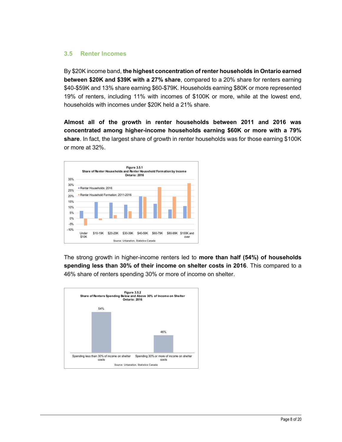#### 3.5 Renter Incomes

By \$20K income band, the highest concentration of renter households in Ontario earned between \$20K and \$39K with a 27% share, compared to a 20% share for renters earning \$40-\$59K and 13% share earning \$60-\$79K. Households earning \$80K or more represented 19% of renters, including 11% with incomes of \$100K or more, while at the lowest end, households with incomes under \$20K held a 21% share.

Almost all of the growth in renter households between 2011 and 2016 was concentrated among higher-income households earning \$60K or more with a 79% share. In fact, the largest share of growth in renter households was for those earning \$100K or more at 32%.



The strong growth in higher-income renters led to more than half (54%) of households spending less than 30% of their income on shelter costs in 2016. This compared to a 46% share of renters spending 30% or more of income on shelter.

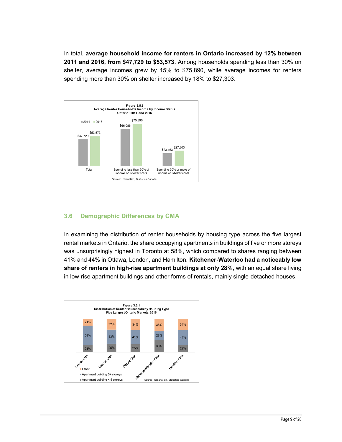In total, average household income for renters in Ontario increased by 12% between 2011 and 2016, from \$47,729 to \$53,573. Among households spending less than 30% on shelter, average incomes grew by 15% to \$75,890, while average incomes for renters spending more than 30% on shelter increased by 18% to \$27,303.



## 3.6 Demographic Differences by CMA

In examining the distribution of renter households by housing type across the five largest rental markets in Ontario, the share occupying apartments in buildings of five or more storeys was unsurprisingly highest in Toronto at 58%, which compared to shares ranging between 41% and 44% in Ottawa, London, and Hamilton. Kitchener-Waterloo had a noticeably low share of renters in high-rise apartment buildings at only 28%, with an equal share living in low-rise apartment buildings and other forms of rentals, mainly single-detached houses.

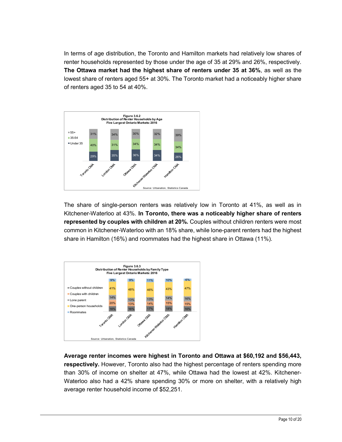In terms of age distribution, the Toronto and Hamilton markets had relatively low shares of renter households represented by those under the age of 35 at 29% and 26%, respectively. The Ottawa market had the highest share of renters under 35 at 36%, as well as the lowest share of renters aged 55+ at 30%. The Toronto market had a noticeably higher share of renters aged 35 to 54 at 40%.



The share of single-person renters was relatively low in Toronto at 41%, as well as in Kitchener-Waterloo at 43%. In Toronto, there was a noticeably higher share of renters represented by couples with children at 20%. Couples without children renters were most common in Kitchener-Waterloo with an 18% share, while lone-parent renters had the highest



Average renter incomes were highest in Toronto and Ottawa at \$60,192 and \$56,443, respectively. However, Toronto also had the highest percentage of renters spending more than 30% of income on shelter at 47%, while Ottawa had the lowest at 42%. Kitchener-Waterloo also had a 42% share spending 30% or more on shelter, with a relatively high average renter household income of \$52,251.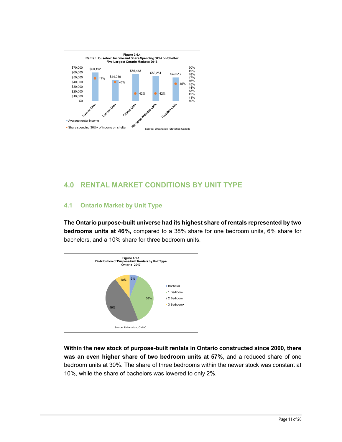

## 4.0 RENTAL MARKET CONDITIONS BY UNIT TYPE

## 4.1 Ontario Market by Unit Type

The Ontario purpose-built universe had its highest share of rentals represented by two bedrooms units at 46%, compared to a 38% share for one bedroom units, 6% share for bachelors, and a 10% share for three bedroom units.



Within the new stock of purpose-built rentals in Ontario constructed since 2000, there was an even higher share of two bedroom units at 57%, and a reduced share of one bedroom units at 30%. The share of three bedrooms within the newer stock was constant at 10%, while the share of bachelors was lowered to only 2%.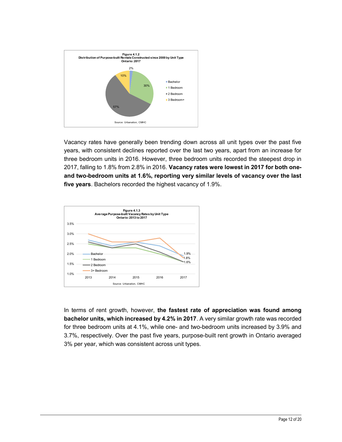

Vacancy rates have generally been trending down across all unit types over the past five years, with consistent declines reported over the last two years, apart from an increase for three bedroom units in 2016. However, three bedroom units recorded the steepest drop in 2017, falling to 1.8% from 2.8% in 2016. Vacancy rates were lowest in 2017 for both oneand two-bedroom units at 1.6%, reporting very similar levels of vacancy over the last five years. Bachelors recorded the highest vacancy of 1.9%.



In terms of rent growth, however, the fastest rate of appreciation was found among bachelor units, which increased by 4.2% in 2017. A very similar growth rate was recorded for three bedroom units at 4.1%, while one- and two-bedroom units increased by 3.9% and 3.7%, respectively. Over the past five years, purpose-built rent growth in Ontario averaged 3% per year, which was consistent across unit types.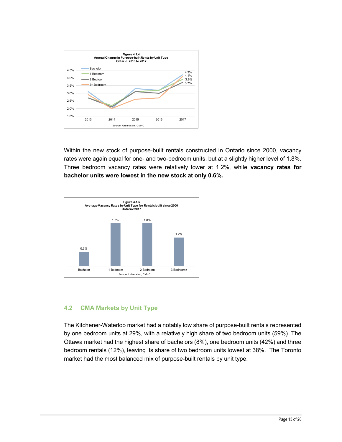

Within the new stock of purpose-built rentals constructed in Ontario since 2000, vacancy rates were again equal for one- and two-bedroom units, but at a slightly higher level of 1.8%. Three bedroom vacancy rates were relatively lower at 1.2%, while vacancy rates for bachelor units were lowest in the new stock at only 0.6%. 1.8% 1.8%



## 4.2 CMA Markets by Unit Type

The Kitchener-Waterloo market had a notably low share of purpose-built rentals represented by one bedroom units at 29%, with a relatively high share of two bedroom units (59%). The Ottawa market had the highest share of bachelors (8%), one bedroom units (42%) and three bedroom rentals (12%), leaving its share of two bedroom units lowest at 38%. The Toronto market had the most balanced mix of purpose-built rentals by unit type.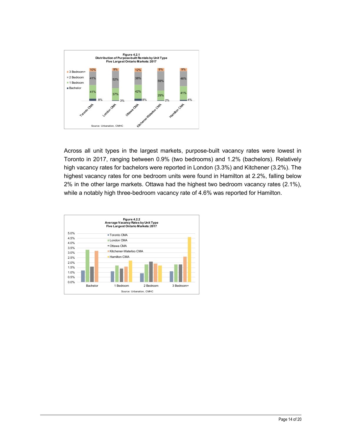

Across all unit types in the largest markets, purpose-built vacancy rates were lowest in Toronto in 2017, ranging between 0.9% (two bedrooms) and 1.2% (bachelors). Relatively high vacancy rates for bachelors were reported in London (3.3%) and Kitchener (3.2%). The highest vacancy rates for one bedroom units were found in Hamilton at 2.2%, falling below 2% in the other large markets. Ottawa had the highest two bedroom vacancy rates (2.1%), while a notably high three-bedroom vacancy rate of 4.6% was reported for Hamilton.

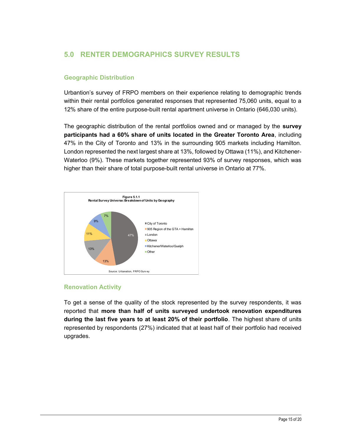## 5.0 RENTER DEMOGRAPHICS SURVEY RESULTS

## Geographic Distribution

Urbantion's survey of FRPO members on their experience relating to demographic trends within their rental portfolios generated responses that represented 75,060 units, equal to a 12% share of the entire purpose-built rental apartment universe in Ontario (646,030 units).

The geographic distribution of the rental portfolios owned and or managed by the survey participants had a 60% share of units located in the Greater Toronto Area, including 47% in the City of Toronto and 13% in the surrounding 905 markets including Hamilton. London represented the next largest share at 13%, followed by Ottawa (11%), and Kitchener-Waterloo (9%). These markets together represented 93% of survey responses, which was higher than their share of total purpose-built rental universe in Ontario at 77%. Its tribution of the rental portfolios owned and or managed by the **survey**<br>
I a 60% share of units located in the Greater Toronto Area, including<br>
Information, Fronto and 13% in the surrounding 905 markets including Hamil



## Renovation Activity

To get a sense of the quality of the stock represented by the survey respondents, it was reported that more than half of units surveyed undertook renovation expenditures during the last five years to at least 20% of their portfolio. The highest share of units represented by respondents (27%) indicated that at least half of their portfolio had received upgrades.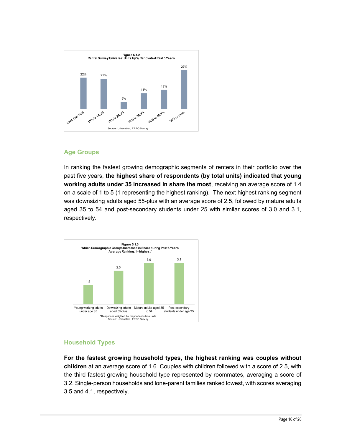

## Age Groups

In ranking the fastest growing demographic segments of renters in their portfolio over the past five years, the highest share of respondents (by total units) indicated that young working adults under 35 increased in share the most, receiving an average score of 1.4 on a scale of 1 to 5 (1 representing the highest ranking). The next highest ranking segment was downsizing adults aged 55-plus with an average score of 2.5, followed by mature adults aged 35 to 54 and post-secondary students under 25 with similar scores of 3.0 and 3.1, respectively. \*Responses to the proposes were approached by total units I indicated that young<br>ts under 35 increased in share the most, receiving an average score of 1.4<br>to 5 (1 representing the highest ranking). The next highest rankin



## Household Types

For the fastest growing household types, the highest ranking was couples without children at an average score of 1.6. Couples with children followed with a score of 2.5, with the third fastest growing household type represented by roommates, averaging a score of 3.2. Single-person households and lone-parent families ranked lowest, with scores averaging 3.5 and 4.1, respectively.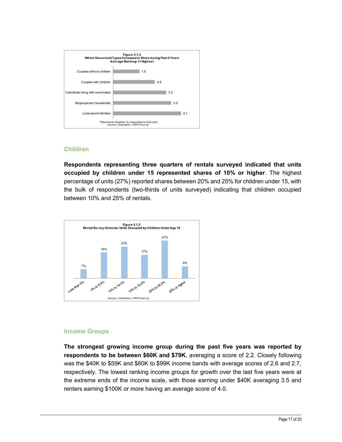

#### Children

Respondents representing three quarters of rentals surveyed indicated that units occupied by children under 15 represented shares of 10% or higher. The highest percentage of units (27%) reported shares between 20% and 25% for children under 15, with the bulk of respondents (two-thirds of units surveyed) indicating that children occupied between 10% and 25% of rentals.



#### Income Groups

The strongest growing income group during the past five years was reported by respondents to be between \$60K and \$79K, averaging a score of 2.2. Closely following was the \$40K to \$59K and \$80K to \$99K income bands with average scores of 2.6 and 2.7, respectively. The lowest ranking income groups for growth over the last five years were at the extreme ends of the income scale, with those earning under \$40K averaging 3.5 and renters earning \$100K or more having an average score of 4.0.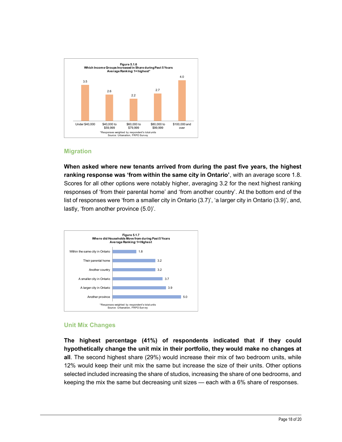

#### Migration

When asked where new tenants arrived from during the past five years, the highest ranking response was 'from within the same city in Ontario', with an average score 1.8. Scores for all other options were notably higher, averaging 3.2 for the next highest ranking responses of 'from their parental home' and 'from another country'. At the bottom end of the list of responses were 'from a smaller city in Ontario (3.7)', 'a larger city in Ontario (3.9)', and, lastly, 'from another province (5.0)'. where new tenants arrived from during the past five years, the highest<br>onse was "from within the same city in Ontario", with an average score 1.8.<br>other options were notably higher, averaging 3.2 for the next highest ranki



#### Unit Mix Changes

The highest percentage (41%) of respondents indicated that if they could hypothetically change the unit mix in their portfolio, they would make no changes at all. The second highest share (29%) would increase their mix of two bedroom units, while 12% would keep their unit mix the same but increase the size of their units. Other options selected included increasing the share of studios, increasing the share of one bedrooms, and keeping the mix the same but decreasing unit sizes — each with a 6% share of responses.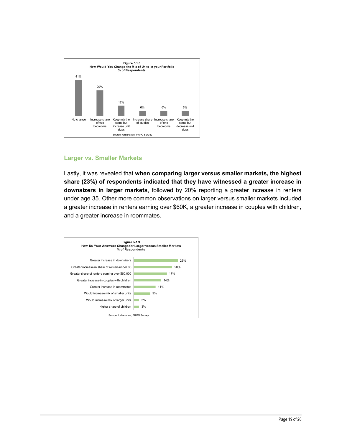

#### Larger vs. Smaller Markets

Lastly, it was revealed that when comparing larger versus smaller markets, the highest share (23%) of respondents indicated that they have witnessed a greater increase in downsizers in larger markets, followed by 20% reporting a greater increase in renters under age 35. Other more common observations on larger versus smaller markets included a greater increase in renters earning over \$60K, a greater increase in couples with children, and a greater increase in roommates. expondents indicated that they have witnessed a greater increase in<br>espondents indicated that they have witnessed a greater increase in<br>exper markets, followed by 20% reporting a greater increase in renters<br>there more comm